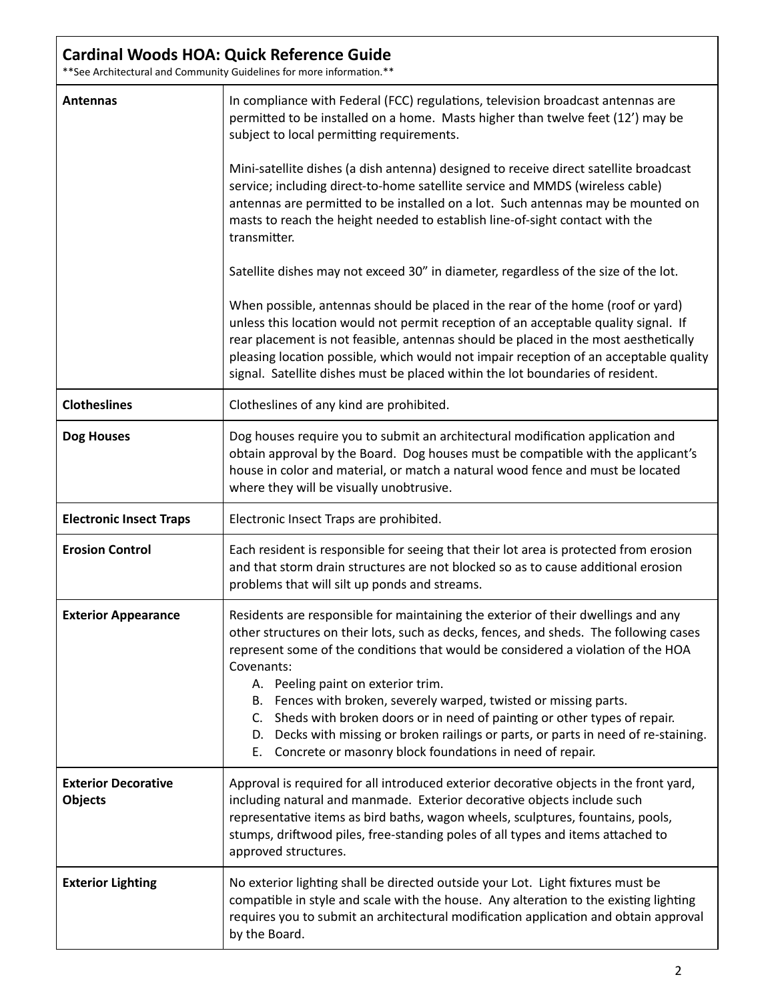## **Cardinal Woods HOA: Quick Reference Guide**

\*\* See Architectural and Community Guidelines for more information.\*\*

| <b>Antennas</b>                              | In compliance with Federal (FCC) regulations, television broadcast antennas are<br>permitted to be installed on a home. Masts higher than twelve feet (12') may be<br>subject to local permitting requirements.                                                                                                                                                                                                                                                                                                                                                                                                                          |
|----------------------------------------------|------------------------------------------------------------------------------------------------------------------------------------------------------------------------------------------------------------------------------------------------------------------------------------------------------------------------------------------------------------------------------------------------------------------------------------------------------------------------------------------------------------------------------------------------------------------------------------------------------------------------------------------|
|                                              | Mini-satellite dishes (a dish antenna) designed to receive direct satellite broadcast<br>service; including direct-to-home satellite service and MMDS (wireless cable)<br>antennas are permitted to be installed on a lot. Such antennas may be mounted on<br>masts to reach the height needed to establish line-of-sight contact with the<br>transmitter.                                                                                                                                                                                                                                                                               |
|                                              | Satellite dishes may not exceed 30" in diameter, regardless of the size of the lot.                                                                                                                                                                                                                                                                                                                                                                                                                                                                                                                                                      |
|                                              | When possible, antennas should be placed in the rear of the home (roof or yard)<br>unless this location would not permit reception of an acceptable quality signal. If<br>rear placement is not feasible, antennas should be placed in the most aesthetically<br>pleasing location possible, which would not impair reception of an acceptable quality<br>signal. Satellite dishes must be placed within the lot boundaries of resident.                                                                                                                                                                                                 |
| <b>Clotheslines</b>                          | Clotheslines of any kind are prohibited.                                                                                                                                                                                                                                                                                                                                                                                                                                                                                                                                                                                                 |
| <b>Dog Houses</b>                            | Dog houses require you to submit an architectural modification application and<br>obtain approval by the Board. Dog houses must be compatible with the applicant's<br>house in color and material, or match a natural wood fence and must be located<br>where they will be visually unobtrusive.                                                                                                                                                                                                                                                                                                                                         |
| <b>Electronic Insect Traps</b>               | Electronic Insect Traps are prohibited.                                                                                                                                                                                                                                                                                                                                                                                                                                                                                                                                                                                                  |
| <b>Erosion Control</b>                       | Each resident is responsible for seeing that their lot area is protected from erosion<br>and that storm drain structures are not blocked so as to cause additional erosion<br>problems that will silt up ponds and streams.                                                                                                                                                                                                                                                                                                                                                                                                              |
| <b>Exterior Appearance</b>                   | Residents are responsible for maintaining the exterior of their dwellings and any<br>other structures on their lots, such as decks, fences, and sheds. The following cases<br>represent some of the conditions that would be considered a violation of the HOA<br>Covenants:<br>A. Peeling paint on exterior trim.<br>Fences with broken, severely warped, twisted or missing parts.<br>В.<br>Sheds with broken doors or in need of painting or other types of repair.<br>C.<br>Decks with missing or broken railings or parts, or parts in need of re-staining.<br>D.<br>Concrete or masonry block foundations in need of repair.<br>Ε. |
| <b>Exterior Decorative</b><br><b>Objects</b> | Approval is required for all introduced exterior decorative objects in the front yard,<br>including natural and manmade. Exterior decorative objects include such<br>representative items as bird baths, wagon wheels, sculptures, fountains, pools,<br>stumps, driftwood piles, free-standing poles of all types and items attached to<br>approved structures.                                                                                                                                                                                                                                                                          |
| <b>Exterior Lighting</b>                     | No exterior lighting shall be directed outside your Lot. Light fixtures must be<br>compatible in style and scale with the house. Any alteration to the existing lighting<br>requires you to submit an architectural modification application and obtain approval<br>by the Board.                                                                                                                                                                                                                                                                                                                                                        |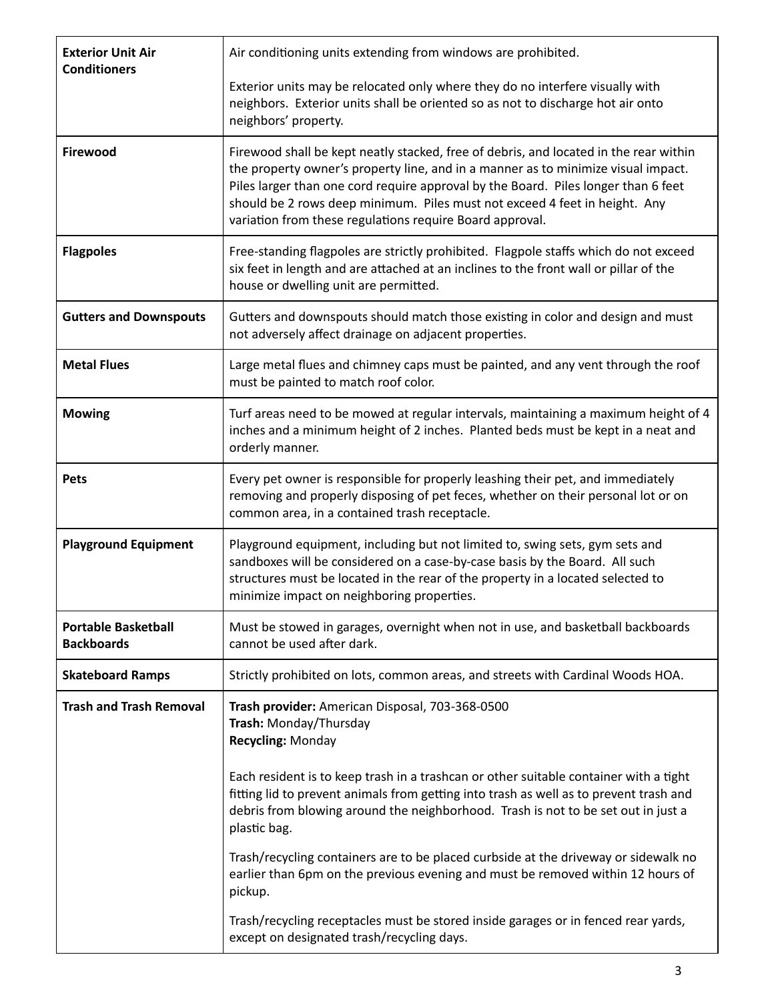| <b>Exterior Unit Air</b><br><b>Conditioners</b> | Air conditioning units extending from windows are prohibited.                                                                                                                                                                                                                                                                                                                                              |
|-------------------------------------------------|------------------------------------------------------------------------------------------------------------------------------------------------------------------------------------------------------------------------------------------------------------------------------------------------------------------------------------------------------------------------------------------------------------|
|                                                 | Exterior units may be relocated only where they do no interfere visually with<br>neighbors. Exterior units shall be oriented so as not to discharge hot air onto<br>neighbors' property.                                                                                                                                                                                                                   |
| <b>Firewood</b>                                 | Firewood shall be kept neatly stacked, free of debris, and located in the rear within<br>the property owner's property line, and in a manner as to minimize visual impact.<br>Piles larger than one cord require approval by the Board. Piles longer than 6 feet<br>should be 2 rows deep minimum. Piles must not exceed 4 feet in height. Any<br>variation from these regulations require Board approval. |
| <b>Flagpoles</b>                                | Free-standing flagpoles are strictly prohibited. Flagpole staffs which do not exceed<br>six feet in length and are attached at an inclines to the front wall or pillar of the<br>house or dwelling unit are permitted.                                                                                                                                                                                     |
| <b>Gutters and Downspouts</b>                   | Gutters and downspouts should match those existing in color and design and must<br>not adversely affect drainage on adjacent properties.                                                                                                                                                                                                                                                                   |
| <b>Metal Flues</b>                              | Large metal flues and chimney caps must be painted, and any vent through the roof<br>must be painted to match roof color.                                                                                                                                                                                                                                                                                  |
| <b>Mowing</b>                                   | Turf areas need to be mowed at regular intervals, maintaining a maximum height of 4<br>inches and a minimum height of 2 inches. Planted beds must be kept in a neat and<br>orderly manner.                                                                                                                                                                                                                 |
| Pets                                            | Every pet owner is responsible for properly leashing their pet, and immediately<br>removing and properly disposing of pet feces, whether on their personal lot or on<br>common area, in a contained trash receptacle.                                                                                                                                                                                      |
| <b>Playground Equipment</b>                     | Playground equipment, including but not limited to, swing sets, gym sets and<br>sandboxes will be considered on a case-by-case basis by the Board. All such<br>structures must be located in the rear of the property in a located selected to<br>minimize impact on neighboring properties.                                                                                                               |
| <b>Portable Basketball</b><br><b>Backboards</b> | Must be stowed in garages, overnight when not in use, and basketball backboards<br>cannot be used after dark.                                                                                                                                                                                                                                                                                              |
| <b>Skateboard Ramps</b>                         | Strictly prohibited on lots, common areas, and streets with Cardinal Woods HOA.                                                                                                                                                                                                                                                                                                                            |
| <b>Trash and Trash Removal</b>                  | Trash provider: American Disposal, 703-368-0500<br>Trash: Monday/Thursday<br><b>Recycling: Monday</b>                                                                                                                                                                                                                                                                                                      |
|                                                 | Each resident is to keep trash in a trashcan or other suitable container with a tight<br>fitting lid to prevent animals from getting into trash as well as to prevent trash and<br>debris from blowing around the neighborhood. Trash is not to be set out in just a<br>plastic bag.                                                                                                                       |
|                                                 | Trash/recycling containers are to be placed curbside at the driveway or sidewalk no<br>earlier than 6pm on the previous evening and must be removed within 12 hours of<br>pickup.                                                                                                                                                                                                                          |
|                                                 | Trash/recycling receptacles must be stored inside garages or in fenced rear yards,<br>except on designated trash/recycling days.                                                                                                                                                                                                                                                                           |